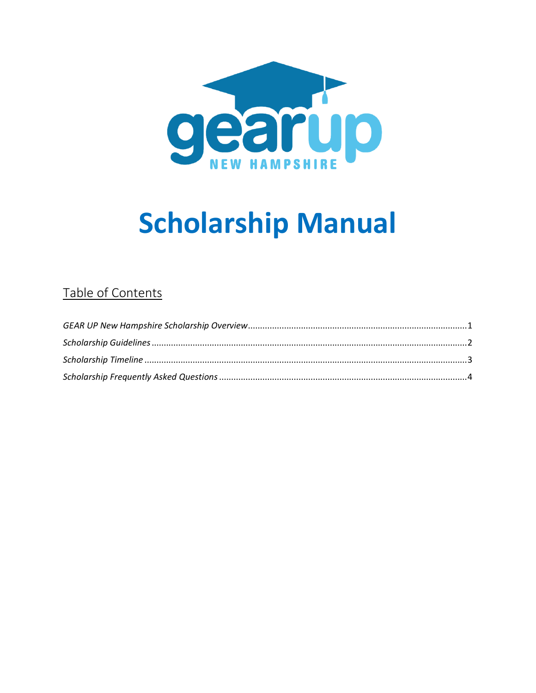

# **Scholarship Manual**

# Table of Contents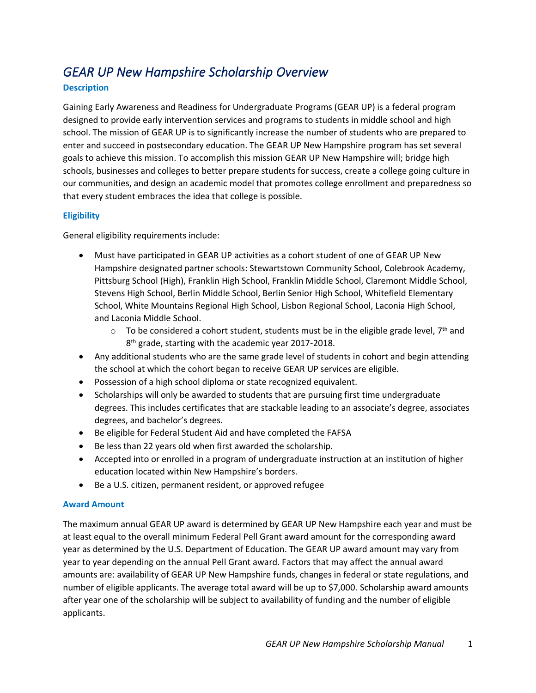# <span id="page-1-0"></span>*GEAR UP New Hampshire Scholarship Overview*

## **Description**

Gaining Early Awareness and Readiness for Undergraduate Programs (GEAR UP) is a federal program designed to provide early intervention services and programs to students in middle school and high school. The mission of GEAR UP is to significantly increase the number of students who are prepared to enter and succeed in postsecondary education. The GEAR UP New Hampshire program has set several goals to achieve this mission. To accomplish this mission GEAR UP New Hampshire will; bridge high schools, businesses and colleges to better prepare students for success, create a college going culture in our communities, and design an academic model that promotes college enrollment and preparedness so that every student embraces the idea that college is possible.

## **Eligibility**

General eligibility requirements include:

- Must have participated in GEAR UP activities as a cohort student of one of GEAR UP New Hampshire designated partner schools: Stewartstown Community School, Colebrook Academy, Pittsburg School (High), Franklin High School, Franklin Middle School, Claremont Middle School, Stevens High School, Berlin Middle School, Berlin Senior High School, Whitefield Elementary School, White Mountains Regional High School, Lisbon Regional School, Laconia High School, and Laconia Middle School.
	- $\circ$  To be considered a cohort student, students must be in the eligible grade level, 7<sup>th</sup> and 8<sup>th</sup> grade, starting with the academic year 2017-2018.
- Any additional students who are the same grade level of students in cohort and begin attending the school at which the cohort began to receive GEAR UP services are eligible.
- Possession of a high school diploma or state recognized equivalent.
- Scholarships will only be awarded to students that are pursuing first time undergraduate degrees. This includes certificates that are stackable leading to an associate's degree, associates degrees, and bachelor's degrees.
- Be eligible for Federal Student Aid and have completed the FAFSA
- Be less than 22 years old when first awarded the scholarship.
- Accepted into or enrolled in a program of undergraduate instruction at an institution of higher education located within New Hampshire's borders.
- Be a U.S. citizen, permanent resident, or approved refugee

#### **Award Amount**

The maximum annual GEAR UP award is determined by GEAR UP New Hampshire each year and must be at least equal to the overall minimum Federal Pell Grant award amount for the corresponding award year as determined by the U.S. Department of Education. The GEAR UP award amount may vary from year to year depending on the annual Pell Grant award. Factors that may affect the annual award amounts are: availability of GEAR UP New Hampshire funds, changes in federal or state regulations, and number of eligible applicants. The average total award will be up to \$7,000. Scholarship award amounts after year one of the scholarship will be subject to availability of funding and the number of eligible applicants.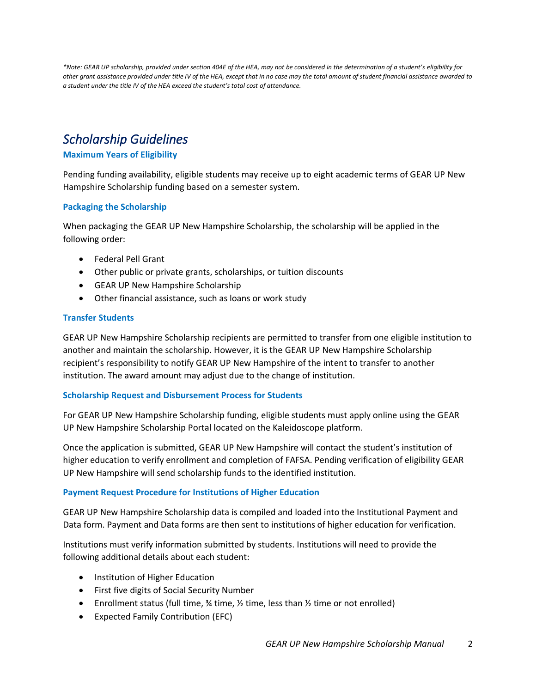*\*Note: GEAR UP scholarship, provided under section 404E of the HEA, may not be considered in the determination of a student's eligibility for other grant assistance provided under title IV of the HEA, except that in no case may the total amount of student financial assistance awarded to a student under the title IV of the HEA exceed the student's total cost of attendance.*

# <span id="page-2-0"></span>*Scholarship Guidelines*

# **Maximum Years of Eligibility**

Pending funding availability, eligible students may receive up to eight academic terms of GEAR UP New Hampshire Scholarship funding based on a semester system.

## **Packaging the Scholarship**

When packaging the GEAR UP New Hampshire Scholarship, the scholarship will be applied in the following order:

- Federal Pell Grant
- Other public or private grants, scholarships, or tuition discounts
- GEAR UP New Hampshire Scholarship
- Other financial assistance, such as loans or work study

## **Transfer Students**

GEAR UP New Hampshire Scholarship recipients are permitted to transfer from one eligible institution to another and maintain the scholarship. However, it is the GEAR UP New Hampshire Scholarship recipient's responsibility to notify GEAR UP New Hampshire of the intent to transfer to another institution. The award amount may adjust due to the change of institution.

#### **Scholarship Request and Disbursement Process for Students**

For GEAR UP New Hampshire Scholarship funding, eligible students must apply online using the GEAR UP New Hampshire Scholarship Portal located on the Kaleidoscope platform.

Once the application is submitted, GEAR UP New Hampshire will contact the student's institution of higher education to verify enrollment and completion of FAFSA. Pending verification of eligibility GEAR UP New Hampshire will send scholarship funds to the identified institution.

#### **Payment Request Procedure for Institutions of Higher Education**

GEAR UP New Hampshire Scholarship data is compiled and loaded into the Institutional Payment and Data form. Payment and Data forms are then sent to institutions of higher education for verification.

Institutions must verify information submitted by students. Institutions will need to provide the following additional details about each student:

- Institution of Higher Education
- First five digits of Social Security Number
- Enrollment status (full time,  $\frac{3}{4}$  time,  $\frac{1}{2}$  time, less than  $\frac{1}{2}$  time or not enrolled)
- Expected Family Contribution (EFC)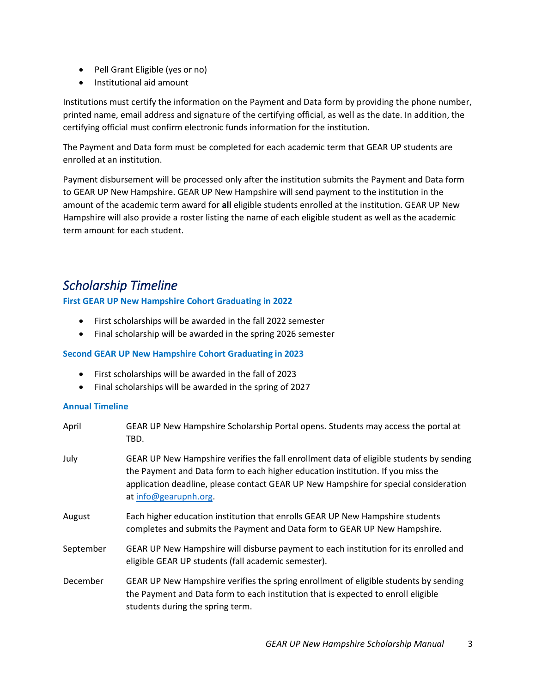- Pell Grant Eligible (yes or no)
- Institutional aid amount

Institutions must certify the information on the Payment and Data form by providing the phone number, printed name, email address and signature of the certifying official, as well as the date. In addition, the certifying official must confirm electronic funds information for the institution.

The Payment and Data form must be completed for each academic term that GEAR UP students are enrolled at an institution.

<span id="page-3-0"></span>Payment disbursement will be processed only after the institution submits the Payment and Data form to GEAR UP New Hampshire. GEAR UP New Hampshire will send payment to the institution in the amount of the academic term award for **all** eligible students enrolled at the institution. GEAR UP New Hampshire will also provide a roster listing the name of each eligible student as well as the academic term amount for each student.

# *Scholarship Timeline*

# **First GEAR UP New Hampshire Cohort Graduating in 2022**

- First scholarships will be awarded in the fall 2022 semester
- Final scholarship will be awarded in the spring 2026 semester

# **Second GEAR UP New Hampshire Cohort Graduating in 2023**

- First scholarships will be awarded in the fall of 2023
- Final scholarships will be awarded in the spring of 2027

# **Annual Timeline**

| April     | GEAR UP New Hampshire Scholarship Portal opens. Students may access the portal at<br>TBD.                                                                                                                                                                                                   |
|-----------|---------------------------------------------------------------------------------------------------------------------------------------------------------------------------------------------------------------------------------------------------------------------------------------------|
| July      | GEAR UP New Hampshire verifies the fall enrollment data of eligible students by sending<br>the Payment and Data form to each higher education institution. If you miss the<br>application deadline, please contact GEAR UP New Hampshire for special consideration<br>at info@gearupnh.org. |
| August    | Each higher education institution that enrolls GEAR UP New Hampshire students<br>completes and submits the Payment and Data form to GEAR UP New Hampshire.                                                                                                                                  |
| September | GEAR UP New Hampshire will disburse payment to each institution for its enrolled and<br>eligible GEAR UP students (fall academic semester).                                                                                                                                                 |
| December  | GEAR UP New Hampshire verifies the spring enrollment of eligible students by sending<br>the Payment and Data form to each institution that is expected to enroll eligible<br>students during the spring term.                                                                               |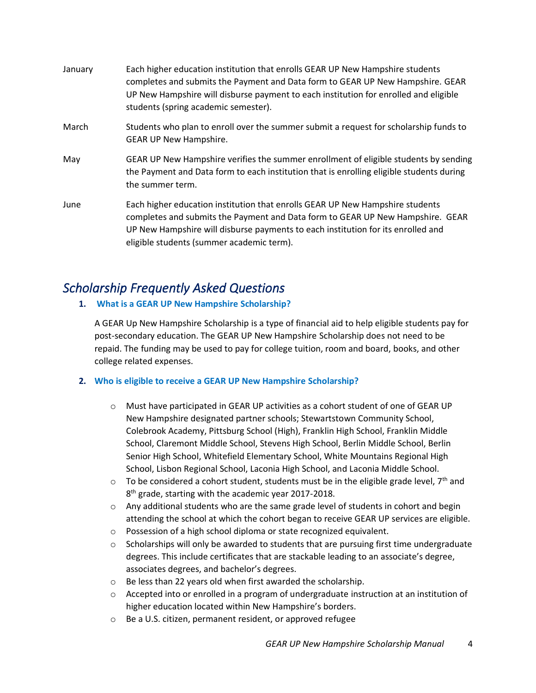| January | Each higher education institution that enrolls GEAR UP New Hampshire students<br>completes and submits the Payment and Data form to GEAR UP New Hampshire. GEAR<br>UP New Hampshire will disburse payment to each institution for enrolled and eligible<br>students (spring academic semester).  |
|---------|--------------------------------------------------------------------------------------------------------------------------------------------------------------------------------------------------------------------------------------------------------------------------------------------------|
| March   | Students who plan to enroll over the summer submit a request for scholarship funds to<br><b>GEAR UP New Hampshire.</b>                                                                                                                                                                           |
| May     | GEAR UP New Hampshire verifies the summer enrollment of eligible students by sending<br>the Payment and Data form to each institution that is enrolling eligible students during<br>the summer term.                                                                                             |
| June    | Each higher education institution that enrolls GEAR UP New Hampshire students<br>completes and submits the Payment and Data form to GEAR UP New Hampshire. GEAR<br>UP New Hampshire will disburse payments to each institution for its enrolled and<br>eligible students (summer academic term). |

# <span id="page-4-0"></span>*Scholarship Frequently Asked Questions*

**1. What is a GEAR UP New Hampshire Scholarship?**

A GEAR Up New Hampshire Scholarship is a type of financial aid to help eligible students pay for post-secondary education. The GEAR UP New Hampshire Scholarship does not need to be repaid. The funding may be used to pay for college tuition, room and board, books, and other college related expenses.

# **2. Who is eligible to receive a GEAR UP New Hampshire Scholarship?**

- $\circ$  Must have participated in GEAR UP activities as a cohort student of one of GEAR UP New Hampshire designated partner schools; Stewartstown Community School, Colebrook Academy, Pittsburg School (High), Franklin High School, Franklin Middle School, Claremont Middle School, Stevens High School, Berlin Middle School, Berlin Senior High School, Whitefield Elementary School, White Mountains Regional High School, Lisbon Regional School, Laconia High School, and Laconia Middle School.
- $\circ$  To be considered a cohort student, students must be in the eligible grade level, 7<sup>th</sup> and 8 th grade, starting with the academic year 2017-2018.
- $\circ$  Any additional students who are the same grade level of students in cohort and begin attending the school at which the cohort began to receive GEAR UP services are eligible.
- o Possession of a high school diploma or state recognized equivalent.
- o Scholarships will only be awarded to students that are pursuing first time undergraduate degrees. This include certificates that are stackable leading to an associate's degree, associates degrees, and bachelor's degrees.
- o Be less than 22 years old when first awarded the scholarship.
- o Accepted into or enrolled in a program of undergraduate instruction at an institution of higher education located within New Hampshire's borders.
- o Be a U.S. citizen, permanent resident, or approved refugee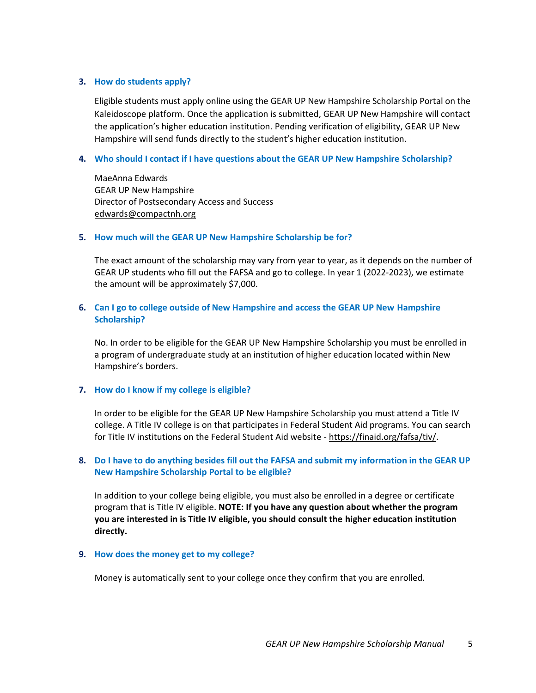#### **3. How do students apply?**

Eligible students must apply online using the GEAR UP New Hampshire Scholarship Portal on the Kaleidoscope platform. Once the application is submitted, GEAR UP New Hampshire will contact the application's higher education institution. Pending verification of eligibility, GEAR UP New Hampshire will send funds directly to the student's higher education institution.

#### **4. Who should I contact if I have questions about the GEAR UP New Hampshire Scholarship?**

MaeAnna Edwards GEAR UP New Hampshire Director of Postsecondary Access and Success [edwards@compactnh.org](mailto:edwards@compactnh.org)

#### **5. How much will the GEAR UP New Hampshire Scholarship be for?**

The exact amount of the scholarship may vary from year to year, as it depends on the number of GEAR UP students who fill out the FAFSA and go to college. In year 1 (2022-2023), we estimate the amount will be approximately \$7,000.

#### **6. Can I go to college outside of New Hampshire and access the GEAR UP New Hampshire Scholarship?**

No. In order to be eligible for the GEAR UP New Hampshire Scholarship you must be enrolled in a program of undergraduate study at an institution of higher education located within New Hampshire's borders.

#### **7. How do I know if my college is eligible?**

In order to be eligible for the GEAR UP New Hampshire Scholarship you must attend a Title IV college. A Title IV college is on that participates in Federal Student Aid programs. You can search for Title IV institutions on the Federal Student Aid website - [https://finaid.org/fafsa/tiv/.](https://finaid.org/fafsa/tiv/)

#### **8. Do I have to do anything besides fill out the FAFSA and submit my information in the GEAR UP New Hampshire Scholarship Portal to be eligible?**

In addition to your college being eligible, you must also be enrolled in a degree or certificate program that is Title IV eligible. **NOTE: If you have any question about whether the program you are interested in is Title IV eligible, you should consult the higher education institution directly.** 

#### **9. How does the money get to my college?**

Money is automatically sent to your college once they confirm that you are enrolled.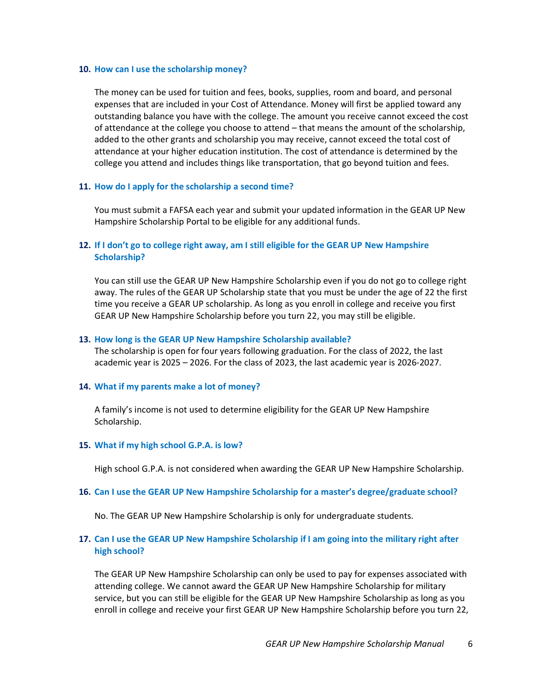#### **10. How can I use the scholarship money?**

The money can be used for tuition and fees, books, supplies, room and board, and personal expenses that are included in your Cost of Attendance. Money will first be applied toward any outstanding balance you have with the college. The amount you receive cannot exceed the cost of attendance at the college you choose to attend – that means the amount of the scholarship, added to the other grants and scholarship you may receive, cannot exceed the total cost of attendance at your higher education institution. The cost of attendance is determined by the college you attend and includes things like transportation, that go beyond tuition and fees.

#### **11. How do I apply for the scholarship a second time?**

You must submit a FAFSA each year and submit your updated information in the GEAR UP New Hampshire Scholarship Portal to be eligible for any additional funds.

## **12. If I don't go to college right away, am I still eligible for the GEAR UP New Hampshire Scholarship?**

You can still use the GEAR UP New Hampshire Scholarship even if you do not go to college right away. The rules of the GEAR UP Scholarship state that you must be under the age of 22 the first time you receive a GEAR UP scholarship. As long as you enroll in college and receive you first GEAR UP New Hampshire Scholarship before you turn 22, you may still be eligible.

#### **13. How long is the GEAR UP New Hampshire Scholarship available?**

The scholarship is open for four years following graduation. For the class of 2022, the last academic year is 2025 – 2026. For the class of 2023, the last academic year is 2026-2027.

#### **14. What if my parents make a lot of money?**

A family's income is not used to determine eligibility for the GEAR UP New Hampshire Scholarship.

#### **15. What if my high school G.P.A. is low?**

High school G.P.A. is not considered when awarding the GEAR UP New Hampshire Scholarship.

#### **16. Can I use the GEAR UP New Hampshire Scholarship for a master's degree/graduate school?**

No. The GEAR UP New Hampshire Scholarship is only for undergraduate students.

#### **17. Can I use the GEAR UP New Hampshire Scholarship if I am going into the military right after high school?**

The GEAR UP New Hampshire Scholarship can only be used to pay for expenses associated with attending college. We cannot award the GEAR UP New Hampshire Scholarship for military service, but you can still be eligible for the GEAR UP New Hampshire Scholarship as long as you enroll in college and receive your first GEAR UP New Hampshire Scholarship before you turn 22,